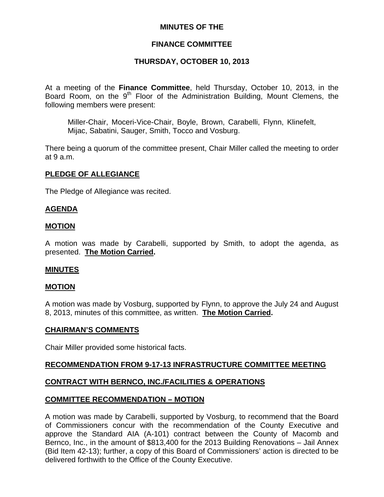#### **MINUTES OF THE**

## **FINANCE COMMITTEE**

## **THURSDAY, OCTOBER 10, 2013**

At a meeting of the **Finance Committee**, held Thursday, October 10, 2013, in the Board Room, on the 9<sup>th</sup> Floor of the Administration Building, Mount Clemens, the following members were present:

Miller-Chair, Moceri-Vice-Chair, Boyle, Brown, Carabelli, Flynn, Klinefelt, Mijac, Sabatini, Sauger, Smith, Tocco and Vosburg.

There being a quorum of the committee present, Chair Miller called the meeting to order at 9 a.m.

#### **PLEDGE OF ALLEGIANCE**

The Pledge of Allegiance was recited.

#### **AGENDA**

#### **MOTION**

A motion was made by Carabelli, supported by Smith, to adopt the agenda, as presented. **The Motion Carried.** 

#### **MINUTES**

#### **MOTION**

A motion was made by Vosburg, supported by Flynn, to approve the July 24 and August 8, 2013, minutes of this committee, as written. **The Motion Carried.** 

#### **CHAIRMAN'S COMMENTS**

Chair Miller provided some historical facts.

#### **RECOMMENDATION FROM 9-17-13 INFRASTRUCTURE COMMITTEE MEETING**

## **CONTRACT WITH BERNCO, INC./FACILITIES & OPERATIONS**

#### **COMMITTEE RECOMMENDATION – MOTION**

A motion was made by Carabelli, supported by Vosburg, to recommend that the Board of Commissioners concur with the recommendation of the County Executive and approve the Standard AIA (A-101) contract between the County of Macomb and Bernco, Inc., in the amount of \$813,400 for the 2013 Building Renovations – Jail Annex (Bid Item 42-13); further, a copy of this Board of Commissioners' action is directed to be delivered forthwith to the Office of the County Executive.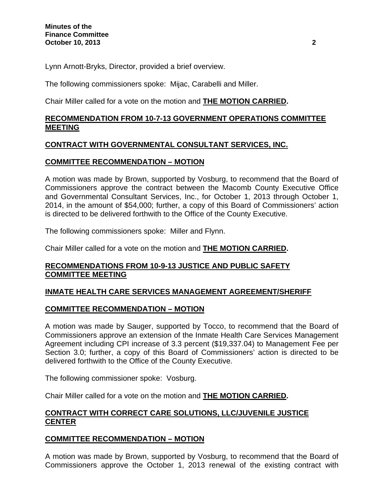Lynn Arnott-Bryks, Director, provided a brief overview.

The following commissioners spoke: Mijac, Carabelli and Miller.

Chair Miller called for a vote on the motion and **THE MOTION CARRIED.** 

## **RECOMMENDATION FROM 10-7-13 GOVERNMENT OPERATIONS COMMITTEE MEETING**

## **CONTRACT WITH GOVERNMENTAL CONSULTANT SERVICES, INC.**

#### **COMMITTEE RECOMMENDATION – MOTION**

A motion was made by Brown, supported by Vosburg, to recommend that the Board of Commissioners approve the contract between the Macomb County Executive Office and Governmental Consultant Services, Inc., for October 1, 2013 through October 1, 2014, in the amount of \$54,000; further, a copy of this Board of Commissioners' action is directed to be delivered forthwith to the Office of the County Executive.

The following commissioners spoke: Miller and Flynn.

Chair Miller called for a vote on the motion and **THE MOTION CARRIED.** 

## **RECOMMENDATIONS FROM 10-9-13 JUSTICE AND PUBLIC SAFETY COMMITTEE MEETING**

## **INMATE HEALTH CARE SERVICES MANAGEMENT AGREEMENT/SHERIFF**

## **COMMITTEE RECOMMENDATION – MOTION**

A motion was made by Sauger, supported by Tocco, to recommend that the Board of Commissioners approve an extension of the Inmate Health Care Services Management Agreement including CPI increase of 3.3 percent (\$19,337.04) to Management Fee per Section 3.0; further, a copy of this Board of Commissioners' action is directed to be delivered forthwith to the Office of the County Executive.

The following commissioner spoke: Vosburg.

Chair Miller called for a vote on the motion and **THE MOTION CARRIED.** 

## **CONTRACT WITH CORRECT CARE SOLUTIONS, LLC/JUVENILE JUSTICE CENTER**

## **COMMITTEE RECOMMENDATION – MOTION**

A motion was made by Brown, supported by Vosburg, to recommend that the Board of Commissioners approve the October 1, 2013 renewal of the existing contract with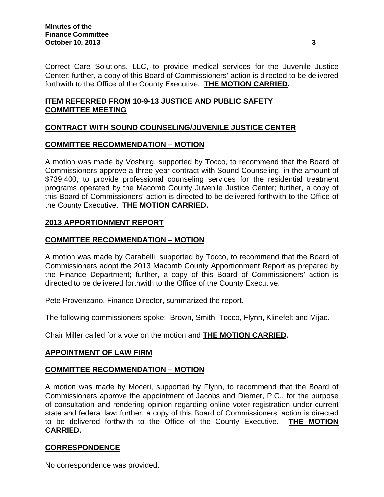Correct Care Solutions, LLC, to provide medical services for the Juvenile Justice Center; further, a copy of this Board of Commissioners' action is directed to be delivered forthwith to the Office of the County Executive. **THE MOTION CARRIED.** 

# **ITEM REFERRED FROM 10-9-13 JUSTICE AND PUBLIC SAFETY COMMITTEE MEETING**

# **CONTRACT WITH SOUND COUNSELING/JUVENILE JUSTICE CENTER**

## **COMMITTEE RECOMMENDATION – MOTION**

A motion was made by Vosburg, supported by Tocco, to recommend that the Board of Commissioners approve a three year contract with Sound Counseling, in the amount of \$739,400, to provide professional counseling services for the residential treatment programs operated by the Macomb County Juvenile Justice Center; further, a copy of this Board of Commissioners' action is directed to be delivered forthwith to the Office of the County Executive. **THE MOTION CARRIED.** 

## **2013 APPORTIONMENT REPORT**

## **COMMITTEE RECOMMENDATION – MOTION**

A motion was made by Carabelli, supported by Tocco, to recommend that the Board of Commissioners adopt the 2013 Macomb County Apportionment Report as prepared by the Finance Department; further, a copy of this Board of Commissioners' action is directed to be delivered forthwith to the Office of the County Executive.

Pete Provenzano, Finance Director, summarized the report.

The following commissioners spoke: Brown, Smith, Tocco, Flynn, Klinefelt and Mijac.

Chair Miller called for a vote on the motion and **THE MOTION CARRIED.** 

#### **APPOINTMENT OF LAW FIRM**

## **COMMITTEE RECOMMENDATION – MOTION**

A motion was made by Moceri, supported by Flynn, to recommend that the Board of Commissioners approve the appointment of Jacobs and Diemer, P.C., for the purpose of consultation and rendering opinion regarding online voter registration under current state and federal law; further, a copy of this Board of Commissioners' action is directed to be delivered forthwith to the Office of the County Executive. **THE MOTION CARRIED.** 

## **CORRESPONDENCE**

No correspondence was provided.